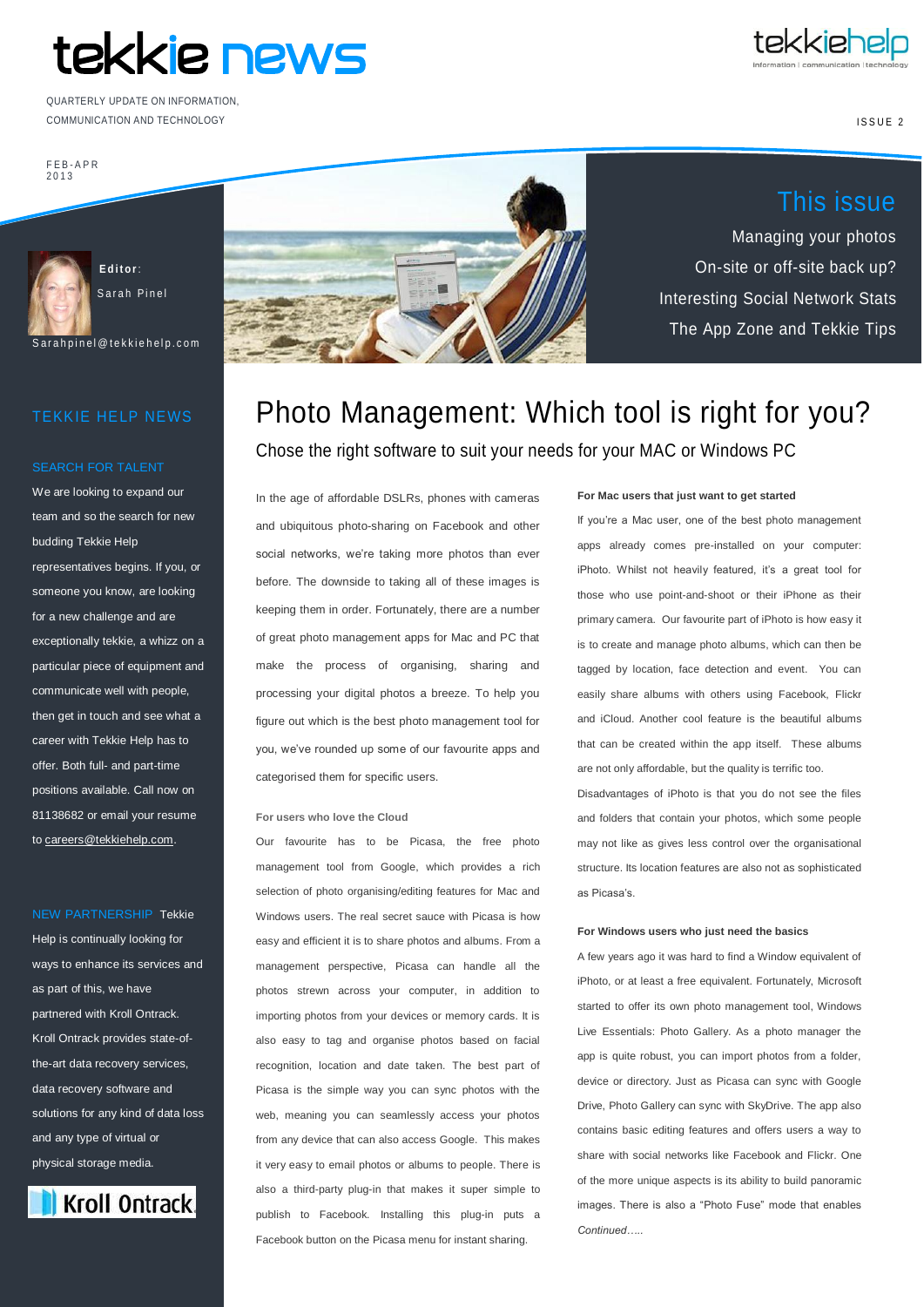# tekkie news

COMMUNICATION AND TECHNOLOGY QUARTERLY UPDATE ON INFORMATION,



This issue

Managing your photos

On-site or off-site back up?

Interesting Social Network Stats

The App Zone and Tekkie Tips

ISSUE<sub>2</sub>

F E B - APR 2 0 1 3



Sarah Pinel

S ar a h p i n e l @ t e k k i e h e l p . c o m

### TEKKIE HELP NEWS

#### SEARCH FOR TALENT

We are looking to expand our team and so the search for new budding Tekkie Help

representatives begins. If you, or someone you know, are looking for a new challenge and are exceptionally tekkie, a whizz on a particular piece of equipment and communicate well with people, then get in touch and see what a career with Tekkie Help has to offer. Both full- and part-time positions available. Call now on 81138682 or email your resume t[o careers@tekkiehelp.com.](mailto:careers@tekkiehelp.com)

#### NEW PARTNERSHIP Tekkie

Help is continually looking for ways to enhance its services and as part of this, we have partnered with Kroll Ontrack. Kroll Ontrack provides state-ofthe-art data recovery services, data recovery software and solutions for any kind of data loss and any type of virtual or physical storage media.





# Photo Management: Which tool is right for you? Chose the right software to suit your needs for your MAC or Windows PC

In the age of affordable DSLRs, phones with cameras and ubiquitous photo-sharing on Facebook and other social networks, we're taking more photos than ever before. The downside to taking all of these images is keeping them in order. Fortunately, there are a number of great photo management apps for Mac and PC that make the process of organising, sharing and processing your digital photos a breeze. To help you figure out which is the best photo management tool for you, we've rounded up some of our favourite apps and categorised them for specific users.

#### **For users who love the Cloud**

Our favourite has to be Picasa, the free photo management tool from Google, which provides a rich selection of photo organising/editing features for Mac and Windows users. The real secret sauce with Picasa is how easy and efficient it is to share photos and albums. From a management perspective, Picasa can handle all the photos strewn across your computer, in addition to importing photos from your devices or memory cards. It is also easy to tag and organise photos based on facial recognition, location and date taken. The best part of Picasa is the simple way you can sync photos with the web, meaning you can seamlessly access your photos from any device that can also access Google. This makes it very easy to email photos or albums to people. There is also a third-party plug-in that makes it super simple to publish to Facebook. Installing this plug-in puts a Facebook button on the Picasa menu for instant sharing.

#### **For Mac users that just want to get started**

If you're a Mac user, one of the best photo management apps already comes pre-installed on your computer: iPhoto. Whilst not heavily featured, it's a great tool for those who use point-and-shoot or their iPhone as their primary camera. Our favourite part of iPhoto is how easy it is to create and manage photo albums, which can then be tagged by location, face detection and event. You can easily share albums with others using Facebook, Flickr and iCloud. Another cool feature is the beautiful albums that can be created within the app itself. These albums are not only affordable, but the quality is terrific too.

Disadvantages of iPhoto is that you do not see the files and folders that contain your photos, which some people may not like as gives less control over the organisational structure. Its location features are also not as sophisticated as Picasa's.

#### **For Windows users who just need the basics**

A few years ago it was hard to find a Window equivalent of iPhoto, or at least a free equivalent. Fortunately, Microsoft started to offer its own photo management tool, Windows Live Essentials: Photo Gallery. As a photo manager the app is quite robust, you can import photos from a folder, device or directory. Just as Picasa can sync with Google Drive, Photo Gallery can sync with SkyDrive. The app also contains basic editing features and offers users a way to share with social networks like Facebook and Flickr. One of the more unique aspects is its ability to build panoramic images. There is also a "Photo Fuse" mode that enables *Continued…..*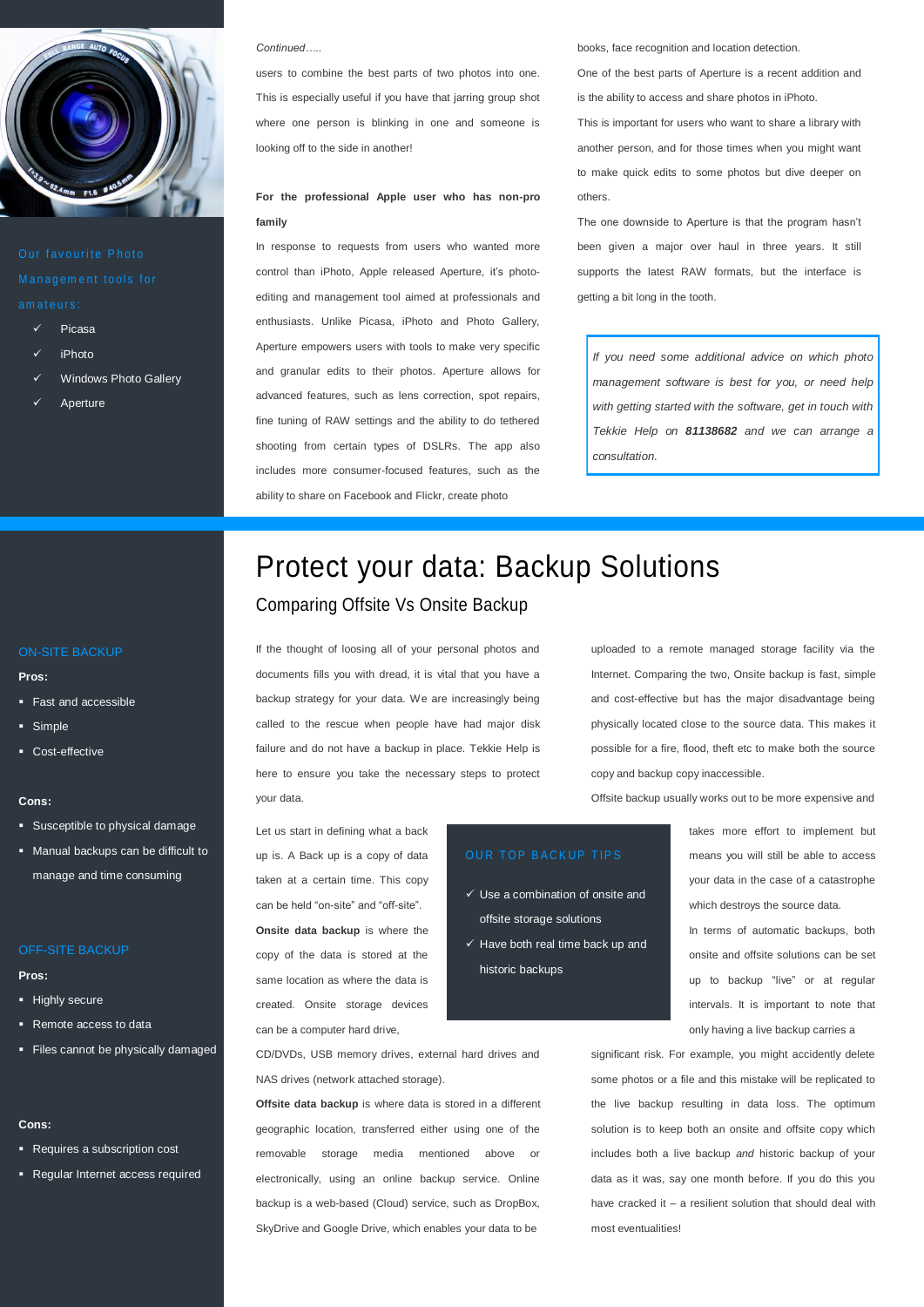

- Picasa
- iPhoto
- Windows Photo Gallery
- Aperture

#### *Continued…..*

users to combine the best parts of two photos into one. This is especially useful if you have that jarring group shot where one person is blinking in one and someone is looking off to the side in another!

#### **For the professional Apple user who has non-pro family**

In response to requests from users who wanted more control than iPhoto, Apple released Aperture, it's photoediting and management tool aimed at professionals and enthusiasts. Unlike Picasa, iPhoto and Photo Gallery, Aperture empowers users with tools to make very specific and granular edits to their photos. Aperture allows for advanced features, such as lens correction, spot repairs, fine tuning of RAW settings and the ability to do tethered shooting from certain types of DSLRs. The app also includes more consumer-focused features, such as the ability to share on Facebook and Flickr, create photo

books, face recognition and location detection.

One of the best parts of Aperture is a recent addition and is the ability to access and share photos in iPhoto.

This is important for users who want to share a library with another person, and for those times when you might want to make quick edits to some photos but dive deeper on others.

The one downside to Aperture is that the program hasn't been given a major over haul in three years. It still supports the latest RAW formats, but the interface is getting a bit long in the tooth.

*If you need some additional advice on which photo management software is best for you, or need help with getting started with the software, get in touch with Tekkie Help on 81138682 and we can arrange a consultation.*

## Protect your data: Backup Solutions Comparing Offsite Vs Onsite Backup

If the thought of loosing all of your personal photos and documents fills you with dread, it is vital that you have a backup strategy for your data. We are increasingly being called to the rescue when people have had major disk failure and do not have a backup in place. Tekkie Help is here to ensure you take the necessary steps to protect your data.

uploaded to a remote managed storage facility via the Internet. Comparing the two, Onsite backup is fast, simple and cost-effective but has the major disadvantage being physically located close to the source data. This makes it possible for a fire, flood, theft etc to make both the source copy and backup copy inaccessible.

Offsite backup usually works out to be more expensive and

Let us start in defining what a back up is. A Back up is a copy of data taken at a certain time. This copy can be held "on-site" and "off-site". **Onsite data backup** is where the copy of the data is stored at the same location as where the data is created. Onsite storage devices can be a computer hard drive,

#### OUR TOP BACKUP TIPS

- $\checkmark$  Use a combination of onsite and offsite storage solutions
- $\checkmark$  Have both real time back up and historic backups

takes more effort to implement but means you will still be able to access your data in the case of a catastrophe which destroys the source data.

In terms of automatic backups, both onsite and offsite solutions can be set up to backup "live" or at regular intervals. It is important to note that only having a live backup carries a

significant risk. For example, you might accidently delete some photos or a file and this mistake will be replicated to the live backup resulting in data loss. The optimum solution is to keep both an onsite and offsite copy which includes both a live backup *and* historic backup of your data as it was, say one month before. If you do this you have cracked it – a resilient solution that should deal with most eventualities!

#### ON-SITE BACKUP

#### **Pros:**

- Fast and accessible
- **Simple**
- Cost-effective

#### **Cons:**

- **Susceptible to physical damage**
- **Manual backups can be difficult to** manage and time consuming

#### OFF-SITE BACKUP

**Pros:**

- **Highly secure**
- Remote access to data
- Files cannot be physically damaged

#### **Cons:**

- Requires a subscription cost
- Regular Internet access required

CD/DVDs, USB memory drives, external hard drives and NAS drives (network attached storage).

**Offsite data backup** is where data is stored in a different geographic location, transferred either using one of the removable storage media mentioned above or electronically, using an online backup service. Online backup is a web-based (Cloud) service, such as DropBox, SkyDrive and Google Drive, which enables your data to be